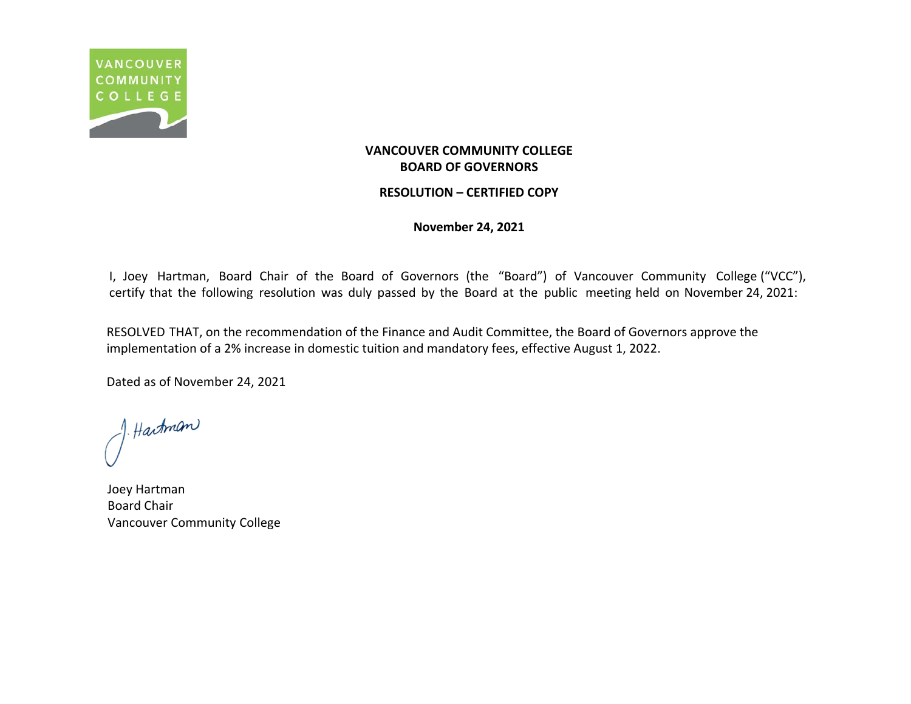

### **RESOLUTION – CERTIFIED COPY**

**November 24, 2021**

I, Joey Hartman, Board Chair of the Board of Governors (the "Board") of Vancouver Community College ("VCC"), certify that the following resolution was duly passed by the Board at the public meeting held on November 24, 2021:

RESOLVED THAT, on the recommendation of the Finance and Audit Committee, the Board of Governors approve the implementation of a 2% increase in domestic tuition and mandatory fees, effective August 1, 2022.

J. Hartman

Joey Hartman Board Chair Vancouver Community College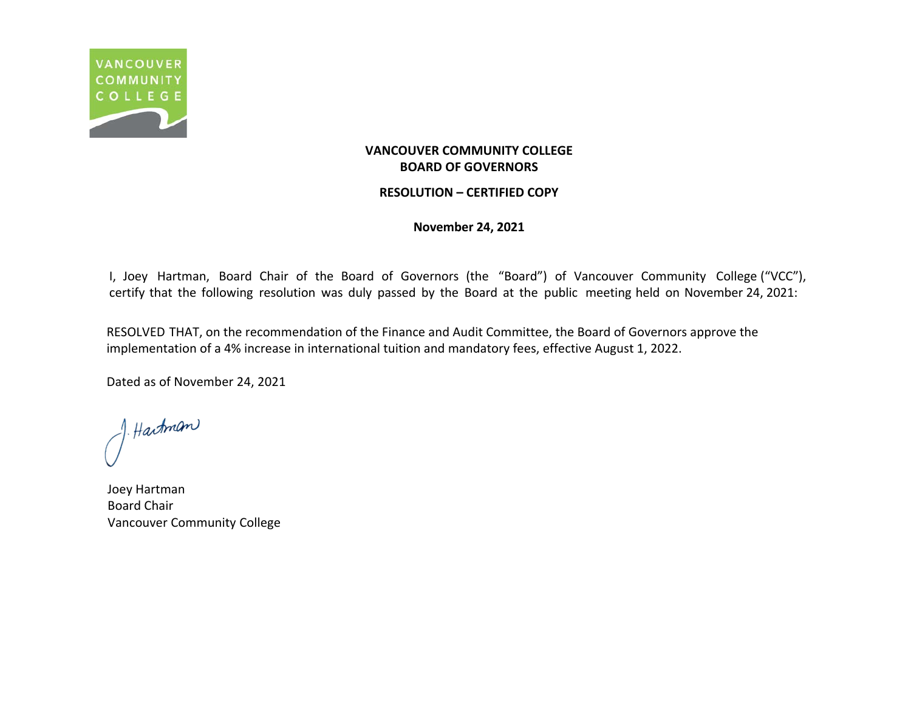

### **RESOLUTION – CERTIFIED COPY**

**November 24, 2021**

I, Joey Hartman, Board Chair of the Board of Governors (the "Board") of Vancouver Community College ("VCC"), certify that the following resolution was duly passed by the Board at the public meeting held on November 24, 2021:

RESOLVED THAT, on the recommendation of the Finance and Audit Committee, the Board of Governors approve the implementation of a 4% increase in international tuition and mandatory fees, effective August 1, 2022.

J. Hartman

Joey Hartman Board Chair Vancouver Community College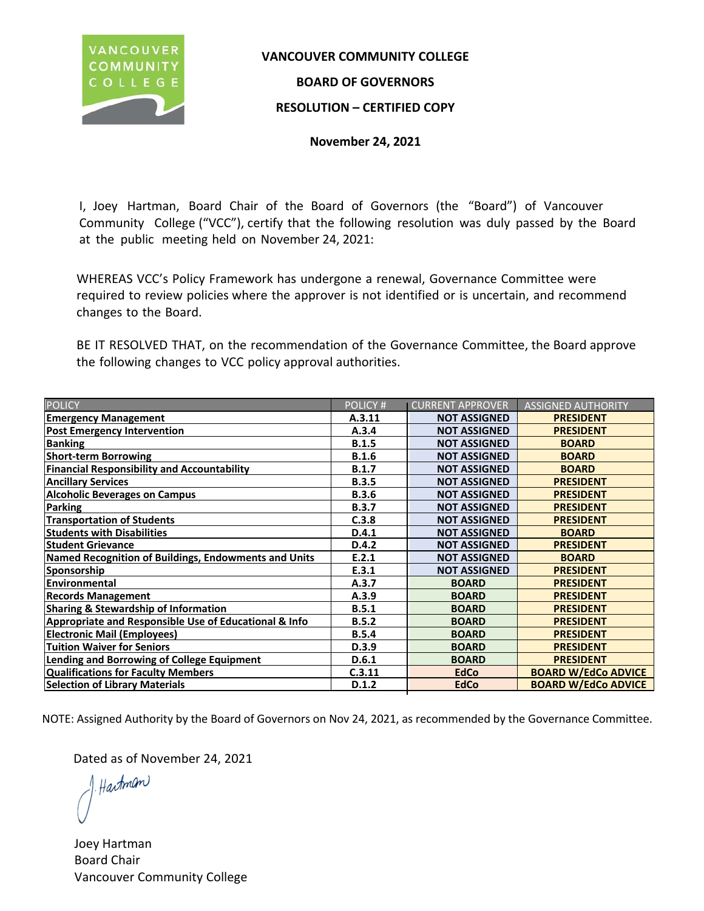

# **VANCOUVER COMMUNITY COLLEGE**

# **BOARD OF GOVERNORS**

# **RESOLUTION – CERTIFIED COPY**

**November 24, 2021**

I, Joey Hartman, Board Chair of the Board of Governors (the "Board") of Vancouver Community College ("VCC"), certify that the following resolution was duly passed by the Board at the public meeting held on November 24, 2021:

WHEREAS VCC's Policy Framework has undergone a renewal, Governance Committee were required to review policies where the approver is not identified or is uncertain, and recommend changes to the Board.

BE IT RESOLVED THAT, on the recommendation of the Governance Committee, the Board approve the following changes to VCC policy approval authorities.

| <b>POLICY</b>                                         | <b>POLICY#</b> | <b>CURRENT APPROVER</b> | <b>ASSIGNED AUTHORITY</b>  |
|-------------------------------------------------------|----------------|-------------------------|----------------------------|
| <b>Emergency Management</b>                           | A.3.11         | <b>NOT ASSIGNED</b>     | <b>PRESIDENT</b>           |
| <b>Post Emergency Intervention</b>                    | A.3.4          | <b>NOT ASSIGNED</b>     | <b>PRESIDENT</b>           |
| <b>Banking</b>                                        | <b>B.1.5</b>   | <b>NOT ASSIGNED</b>     | <b>BOARD</b>               |
| <b>Short-term Borrowing</b>                           | <b>B.1.6</b>   | <b>NOT ASSIGNED</b>     | <b>BOARD</b>               |
| <b>Financial Responsibility and Accountability</b>    | B.1.7          | <b>NOT ASSIGNED</b>     | <b>BOARD</b>               |
| <b>Ancillary Services</b>                             | <b>B.3.5</b>   | <b>NOT ASSIGNED</b>     | <b>PRESIDENT</b>           |
| <b>Alcoholic Beverages on Campus</b>                  | <b>B.3.6</b>   | <b>NOT ASSIGNED</b>     | <b>PRESIDENT</b>           |
| Parking                                               | <b>B.3.7</b>   | <b>NOT ASSIGNED</b>     | <b>PRESIDENT</b>           |
| <b>Transportation of Students</b>                     | C.3.8          | <b>NOT ASSIGNED</b>     | <b>PRESIDENT</b>           |
| <b>Students with Disabilities</b>                     | D.4.1          | <b>NOT ASSIGNED</b>     | <b>BOARD</b>               |
| <b>Student Grievance</b>                              | D.4.2          | <b>NOT ASSIGNED</b>     | <b>PRESIDENT</b>           |
| Named Recognition of Buildings, Endowments and Units  | E.2.1          | <b>NOT ASSIGNED</b>     | <b>BOARD</b>               |
| <b>Sponsorship</b>                                    | E.3.1          | <b>NOT ASSIGNED</b>     | <b>PRESIDENT</b>           |
| Environmental                                         | A.3.7          | <b>BOARD</b>            | <b>PRESIDENT</b>           |
| <b>Records Management</b>                             | A.3.9          | <b>BOARD</b>            | <b>PRESIDENT</b>           |
| <b>Sharing &amp; Stewardship of Information</b>       | B.5.1          | <b>BOARD</b>            | <b>PRESIDENT</b>           |
| Appropriate and Responsible Use of Educational & Info | B.5.2          | <b>BOARD</b>            | <b>PRESIDENT</b>           |
| <b>Electronic Mail (Employees)</b>                    | <b>B.5.4</b>   | <b>BOARD</b>            | <b>PRESIDENT</b>           |
| <b>Tuition Waiver for Seniors</b>                     | D.3.9          | <b>BOARD</b>            | <b>PRESIDENT</b>           |
| <b>Lending and Borrowing of College Equipment</b>     | D.6.1          | <b>BOARD</b>            | <b>PRESIDENT</b>           |
| <b>Qualifications for Faculty Members</b>             | C.3.11         | <b>EdCo</b>             | <b>BOARD W/EdCo ADVICE</b> |
| <b>Selection of Library Materials</b>                 | D.1.2          | <b>EdCo</b>             | <b>BOARD W/EdCo ADVICE</b> |

NOTE: Assigned Authority by the Board of Governors on Nov 24, 2021, as recommended by the Governance Committee.

Hartman

Joey HartmanBoard ChairVancouver Community College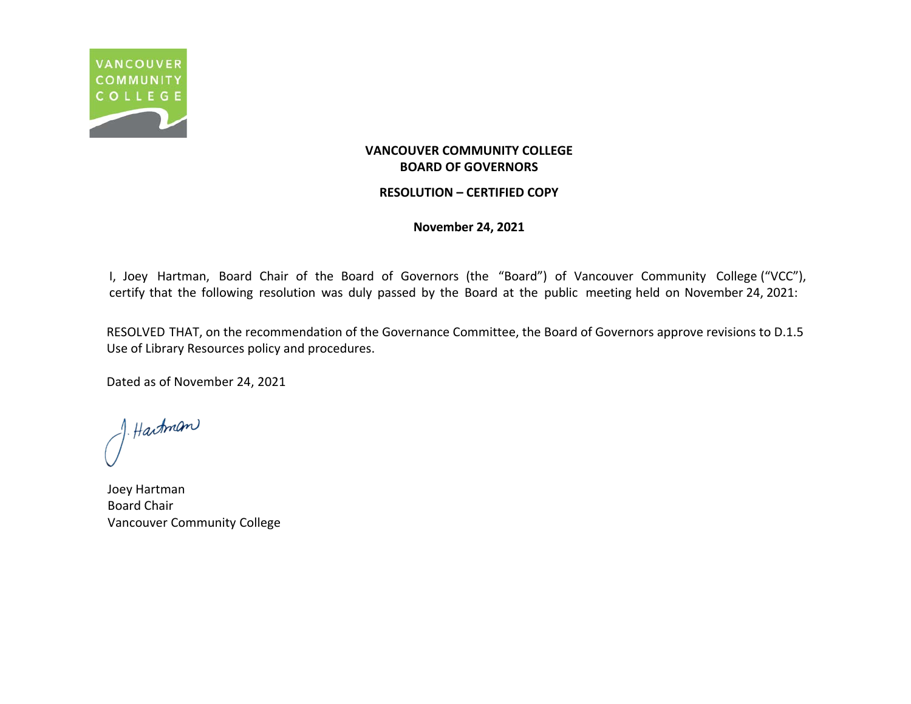

### **RESOLUTION – CERTIFIED COPY**

**November 24, 2021**

I, Joey Hartman, Board Chair of the Board of Governors (the "Board") of Vancouver Community College ("VCC"), certify that the following resolution was duly passed by the Board at the public meeting held on November 24, 2021:

RESOLVED THAT, on the recommendation of the Governance Committee, the Board of Governors approve revisions to D.1.5 Use of Library Resources policy and procedures.

J. Hartman

Joey Hartman Board Chair Vancouver Community College